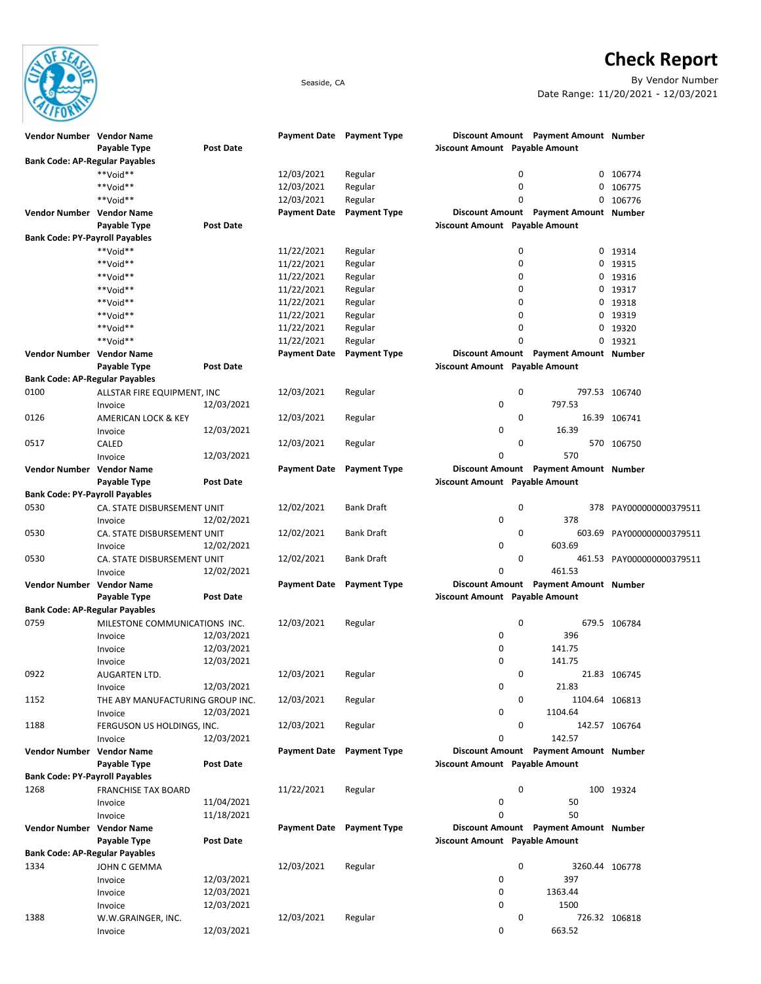Check Report



Seaside, CA By Vendor Number Date Range: 11/20/2021 - 12/03/2021

| Vendor Number Vendor Name                     |                                  |                  |                     | Payment Date Payment Type |                                       | Discount Amount Payment Amount Number |                           |
|-----------------------------------------------|----------------------------------|------------------|---------------------|---------------------------|---------------------------------------|---------------------------------------|---------------------------|
|                                               | Payable Type                     | <b>Post Date</b> |                     |                           | <b>Discount Amount Payable Amount</b> |                                       |                           |
| <b>Bank Code: AP-Regular Payables</b>         |                                  |                  |                     |                           |                                       |                                       |                           |
|                                               | **Void**                         |                  | 12/03/2021          | Regular                   |                                       | 0<br>0                                | 106774                    |
|                                               | **Void**                         |                  | 12/03/2021          | Regular                   |                                       | $\mathbf 0$<br>0                      | 106775                    |
|                                               | **Void**                         |                  | 12/03/2021          | Regular                   |                                       | 0<br>0                                | 106776                    |
| Vendor Number Vendor Name                     |                                  |                  | <b>Payment Date</b> | <b>Payment Type</b>       |                                       | Discount Amount Payment Amount Number |                           |
|                                               | Payable Type                     | <b>Post Date</b> |                     |                           | <b>Discount Amount Payable Amount</b> |                                       |                           |
| <b>Bank Code: PY-Payroll Payables</b>         |                                  |                  |                     |                           |                                       |                                       |                           |
|                                               | **Void**                         |                  | 11/22/2021          | Regular                   |                                       | 0<br>0                                | 19314                     |
|                                               | **Void**                         |                  | 11/22/2021          | Regular                   |                                       | 0<br>0                                | 19315                     |
|                                               | **Void**                         |                  | 11/22/2021          | Regular                   |                                       | 0<br>0                                | 19316                     |
|                                               | **Void**                         |                  | 11/22/2021          | Regular                   |                                       | 0<br>0                                | 19317                     |
|                                               | **Void**                         |                  | 11/22/2021          | Regular                   |                                       | 0<br>0                                | 19318                     |
|                                               | **Void**                         |                  | 11/22/2021          | Regular                   |                                       | $\mathbf 0$<br>0                      | 19319                     |
|                                               | **Void**                         |                  | 11/22/2021          | Regular                   |                                       | 0<br>0                                | 19320                     |
|                                               | **Void**                         |                  | 11/22/2021          | Regular                   |                                       | $\Omega$<br>0                         | 19321                     |
| Vendor Number Vendor Name                     |                                  |                  | Payment Date        | <b>Payment Type</b>       |                                       | Discount Amount Payment Amount Number |                           |
|                                               | Payable Type                     | <b>Post Date</b> |                     |                           | <b>Discount Amount Payable Amount</b> |                                       |                           |
| <b>Bank Code: AP-Regular Payables</b>         |                                  |                  |                     |                           |                                       |                                       |                           |
| 0100                                          | ALLSTAR FIRE EQUIPMENT, INC      |                  | 12/03/2021          | Regular                   |                                       | $\mathbf 0$                           | 797.53 106740             |
|                                               | Invoice                          | 12/03/2021       |                     |                           | 0                                     | 797.53                                |                           |
| 0126                                          | <b>AMERICAN LOCK &amp; KEY</b>   |                  | 12/03/2021          | Regular                   |                                       | 0                                     | 16.39 106741              |
|                                               | Invoice                          | 12/03/2021       |                     |                           | 0                                     | 16.39                                 |                           |
| 0517                                          | CALED                            |                  | 12/03/2021          | Regular                   |                                       | 0                                     | 570 106750                |
|                                               | Invoice                          | 12/03/2021       |                     |                           | 0                                     | 570                                   |                           |
| Vendor Number Vendor Name                     |                                  |                  | <b>Payment Date</b> | <b>Payment Type</b>       |                                       | Discount Amount Payment Amount Number |                           |
|                                               | Payable Type                     | Post Date        |                     |                           | <b>Discount Amount Payable Amount</b> |                                       |                           |
| <b>Bank Code: PY-Payroll Payables</b>         |                                  |                  |                     |                           |                                       |                                       |                           |
| 0530                                          | CA. STATE DISBURSEMENT UNIT      |                  | 12/02/2021          | <b>Bank Draft</b>         |                                       | $\mathbf 0$                           | 378 PAY000000000379511    |
|                                               | Invoice                          | 12/02/2021       |                     |                           | 0                                     | 378                                   |                           |
| 0530                                          | CA. STATE DISBURSEMENT UNIT      |                  | 12/02/2021          | <b>Bank Draft</b>         |                                       | 0                                     | 603.69 PAY000000000379511 |
|                                               | Invoice                          | 12/02/2021       |                     |                           | 0                                     | 603.69                                |                           |
| 0530                                          | CA. STATE DISBURSEMENT UNIT      |                  | 12/02/2021          | <b>Bank Draft</b>         |                                       | 0                                     | 461.53 PAY000000000379511 |
|                                               | Invoice                          | 12/02/2021       |                     |                           | 0                                     | 461.53                                |                           |
| Vendor Number Vendor Name                     |                                  |                  | Payment Date        | <b>Payment Type</b>       |                                       | Discount Amount Payment Amount Number |                           |
|                                               | Payable Type                     | <b>Post Date</b> |                     |                           | <b>Discount Amount Payable Amount</b> |                                       |                           |
| <b>Bank Code: AP-Regular Payables</b>         |                                  |                  |                     |                           |                                       |                                       |                           |
| 0759                                          | MILESTONE COMMUNICATIONS INC.    |                  | 12/03/2021          | Regular                   |                                       | $\mathbf 0$                           | 679.5 106784              |
|                                               | Invoice                          | 12/03/2021       |                     |                           | 0                                     | 396                                   |                           |
|                                               |                                  | 12/03/2021       |                     |                           | 0                                     | 141.75                                |                           |
|                                               | Invoice                          | 12/03/2021       |                     |                           | 0                                     | 141.75                                |                           |
| 0922                                          | Invoice                          |                  | 12/03/2021          | Regular                   |                                       | 0                                     | 21.83 106745              |
|                                               | AUGARTEN LTD.                    | 12/03/2021       |                     |                           | 0                                     | 21.83                                 |                           |
| 1152                                          | Invoice                          |                  | 12/03/2021          | Regular                   |                                       | 0<br>1104.64 106813                   |                           |
|                                               | THE ABY MANUFACTURING GROUP INC. | 12/03/2021       |                     |                           | 0                                     | 1104.64                               |                           |
| 1188                                          | Invoice                          |                  | 12/03/2021          |                           |                                       | 0                                     |                           |
|                                               | FERGUSON US HOLDINGS, INC.       | 12/03/2021       |                     | Regular                   | 0                                     | 142.57                                | 142.57 106764             |
| Vendor Number Vendor Name                     | Invoice                          |                  | <b>Payment Date</b> | <b>Payment Type</b>       |                                       | Discount Amount Payment Amount Number |                           |
|                                               | Payable Type                     | Post Date        |                     |                           | <b>Discount Amount Payable Amount</b> |                                       |                           |
|                                               |                                  |                  |                     |                           |                                       |                                       |                           |
| <b>Bank Code: PY-Payroll Payables</b><br>1268 |                                  |                  | 11/22/2021          | Regular                   |                                       | $\mathbf 0$                           | 100 19324                 |
|                                               | <b>FRANCHISE TAX BOARD</b>       | 11/04/2021       |                     |                           | 0                                     | 50                                    |                           |
|                                               | Invoice                          | 11/18/2021       |                     |                           | 0                                     | 50                                    |                           |
|                                               | Invoice                          |                  |                     |                           |                                       |                                       |                           |
| Vendor Number Vendor Name                     |                                  |                  |                     | Payment Date Payment Type | <b>Discount Amount Payable Amount</b> | Discount Amount Payment Amount Number |                           |
|                                               | Payable Type                     | Post Date        |                     |                           |                                       |                                       |                           |
| <b>Bank Code: AP-Regular Payables</b>         |                                  |                  |                     |                           |                                       |                                       |                           |
| 1334                                          | JOHN C GEMMA                     |                  | 12/03/2021          | Regular                   |                                       | 0<br>3260.44 106778                   |                           |
|                                               | Invoice                          | 12/03/2021       |                     |                           | 0                                     | 397                                   |                           |
|                                               | Invoice                          | 12/03/2021       |                     |                           | 0                                     | 1363.44                               |                           |
|                                               | Invoice                          | 12/03/2021       |                     |                           | 0                                     | 1500                                  |                           |
| 1388                                          | W.W.GRAINGER, INC.               |                  | 12/03/2021          | Regular                   |                                       | 0                                     | 726.32 106818             |
|                                               | Invoice                          | 12/03/2021       |                     |                           | 0                                     | 663.52                                |                           |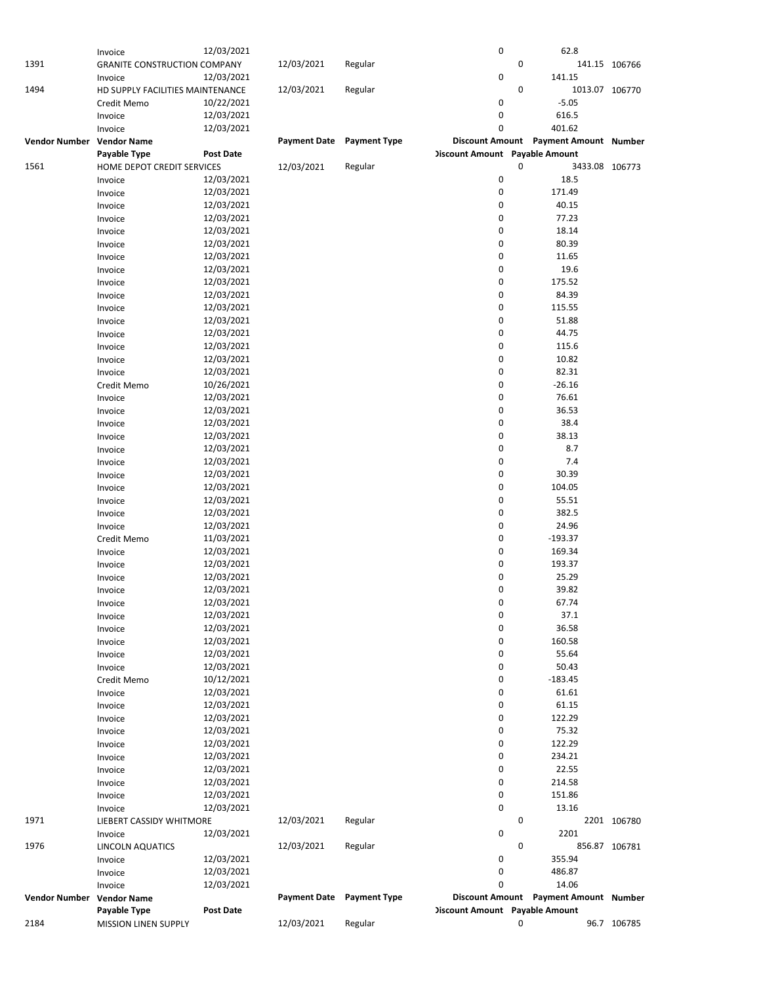|                           | Invoice                             | 12/03/2021       |                     |                     | 0                                     | 62.8                                  |               |
|---------------------------|-------------------------------------|------------------|---------------------|---------------------|---------------------------------------|---------------------------------------|---------------|
| 1391                      | <b>GRANITE CONSTRUCTION COMPANY</b> |                  | 12/03/2021          | Regular             |                                       | 0                                     | 141.15 106766 |
|                           | Invoice                             | 12/03/2021       |                     |                     | 0                                     | 141.15                                |               |
| 1494                      | HD SUPPLY FACILITIES MAINTENANCE    |                  | 12/03/2021          | Regular             |                                       | 0<br>1013.07 106770                   |               |
|                           | Credit Memo                         | 10/22/2021       |                     |                     | 0                                     | $-5.05$                               |               |
|                           |                                     |                  |                     |                     |                                       |                                       |               |
|                           | Invoice                             | 12/03/2021       |                     |                     | 0                                     | 616.5                                 |               |
|                           | Invoice                             | 12/03/2021       |                     |                     | 0                                     | 401.62                                |               |
| Vendor Number Vendor Name |                                     |                  | <b>Payment Date</b> | <b>Payment Type</b> |                                       | Discount Amount Payment Amount Number |               |
|                           | Payable Type                        | <b>Post Date</b> |                     |                     | <b>Discount Amount</b> Payable Amount |                                       |               |
| 1561                      | HOME DEPOT CREDIT SERVICES          |                  | 12/03/2021          | Regular             |                                       | 0<br>3433.08 106773                   |               |
|                           | Invoice                             | 12/03/2021       |                     |                     | 0                                     | 18.5                                  |               |
|                           | Invoice                             | 12/03/2021       |                     |                     | $\pmb{0}$                             | 171.49                                |               |
|                           |                                     |                  |                     |                     | 0                                     |                                       |               |
|                           | Invoice                             | 12/03/2021       |                     |                     |                                       | 40.15                                 |               |
|                           | Invoice                             | 12/03/2021       |                     |                     | 0                                     | 77.23                                 |               |
|                           | Invoice                             | 12/03/2021       |                     |                     | 0                                     | 18.14                                 |               |
|                           | Invoice                             | 12/03/2021       |                     |                     | 0                                     | 80.39                                 |               |
|                           | Invoice                             | 12/03/2021       |                     |                     | 0                                     | 11.65                                 |               |
|                           | Invoice                             | 12/03/2021       |                     |                     | 0                                     | 19.6                                  |               |
|                           | Invoice                             | 12/03/2021       |                     |                     | 0                                     | 175.52                                |               |
|                           | Invoice                             | 12/03/2021       |                     |                     | 0                                     | 84.39                                 |               |
|                           |                                     |                  |                     |                     | 0                                     |                                       |               |
|                           | Invoice                             | 12/03/2021       |                     |                     |                                       | 115.55                                |               |
|                           | Invoice                             | 12/03/2021       |                     |                     | 0                                     | 51.88                                 |               |
|                           | Invoice                             | 12/03/2021       |                     |                     | 0                                     | 44.75                                 |               |
|                           | Invoice                             | 12/03/2021       |                     |                     | 0                                     | 115.6                                 |               |
|                           | Invoice                             | 12/03/2021       |                     |                     | 0                                     | 10.82                                 |               |
|                           | Invoice                             | 12/03/2021       |                     |                     | 0                                     | 82.31                                 |               |
|                           | Credit Memo                         | 10/26/2021       |                     |                     | 0                                     | $-26.16$                              |               |
|                           | Invoice                             | 12/03/2021       |                     |                     | 0                                     | 76.61                                 |               |
|                           |                                     |                  |                     |                     | 0                                     | 36.53                                 |               |
|                           | Invoice                             | 12/03/2021       |                     |                     |                                       |                                       |               |
|                           | Invoice                             | 12/03/2021       |                     |                     | 0                                     | 38.4                                  |               |
|                           | Invoice                             | 12/03/2021       |                     |                     | 0                                     | 38.13                                 |               |
|                           | Invoice                             | 12/03/2021       |                     |                     | 0                                     | 8.7                                   |               |
|                           | Invoice                             | 12/03/2021       |                     |                     | 0                                     | 7.4                                   |               |
|                           | Invoice                             | 12/03/2021       |                     |                     | 0                                     | 30.39                                 |               |
|                           | Invoice                             | 12/03/2021       |                     |                     | 0                                     | 104.05                                |               |
|                           | Invoice                             | 12/03/2021       |                     |                     | 0                                     | 55.51                                 |               |
|                           | Invoice                             | 12/03/2021       |                     |                     | 0                                     | 382.5                                 |               |
|                           |                                     |                  |                     |                     |                                       |                                       |               |
|                           | Invoice                             | 12/03/2021       |                     |                     | 0                                     | 24.96                                 |               |
|                           | Credit Memo                         | 11/03/2021       |                     |                     | 0                                     | $-193.37$                             |               |
|                           | Invoice                             | 12/03/2021       |                     |                     | 0                                     | 169.34                                |               |
|                           | Invoice                             | 12/03/2021       |                     |                     | 0                                     | 193.37                                |               |
|                           | Invoice                             | 12/03/2021       |                     |                     | 0                                     | 25.29                                 |               |
|                           | Invoice                             | 12/03/2021       |                     |                     | 0                                     | 39.82                                 |               |
|                           | Invoice                             | 12/03/2021       |                     |                     | 0                                     | 67.74                                 |               |
|                           |                                     | 12/03/2021       |                     |                     | 0                                     |                                       |               |
|                           | Invoice                             | 12/03/2021       |                     |                     |                                       | 37.1<br>36.58                         |               |
|                           | Invoice                             |                  |                     |                     | 0                                     |                                       |               |
|                           | Invoice                             | 12/03/2021       |                     |                     | 0                                     | 160.58                                |               |
|                           | Invoice                             | 12/03/2021       |                     |                     | 0                                     | 55.64                                 |               |
|                           | Invoice                             | 12/03/2021       |                     |                     | 0                                     | 50.43                                 |               |
|                           | Credit Memo                         | 10/12/2021       |                     |                     | 0                                     | $-183.45$                             |               |
|                           | Invoice                             | 12/03/2021       |                     |                     | 0                                     | 61.61                                 |               |
|                           | Invoice                             | 12/03/2021       |                     |                     | 0                                     | 61.15                                 |               |
|                           | Invoice                             | 12/03/2021       |                     |                     | 0                                     | 122.29                                |               |
|                           | Invoice                             | 12/03/2021       |                     |                     | 0                                     | 75.32                                 |               |
|                           |                                     |                  |                     |                     |                                       |                                       |               |
|                           | Invoice                             | 12/03/2021       |                     |                     | 0                                     | 122.29                                |               |
|                           | Invoice                             | 12/03/2021       |                     |                     | 0                                     | 234.21                                |               |
|                           | Invoice                             | 12/03/2021       |                     |                     | 0                                     | 22.55                                 |               |
|                           | Invoice                             | 12/03/2021       |                     |                     | 0                                     | 214.58                                |               |
|                           | Invoice                             | 12/03/2021       |                     |                     | 0                                     | 151.86                                |               |
|                           | Invoice                             | 12/03/2021       |                     |                     | 0                                     | 13.16                                 |               |
| 1971                      | LIEBERT CASSIDY WHITMORE            |                  | 12/03/2021          | Regular             |                                       | 0                                     | 2201 106780   |
|                           |                                     | 12/03/2021       |                     |                     | 0                                     | 2201                                  |               |
|                           | Invoice                             |                  |                     |                     |                                       |                                       |               |
| 1976                      | <b>LINCOLN AQUATICS</b>             |                  | 12/03/2021          | Regular             |                                       | 0                                     | 856.87 106781 |
|                           | Invoice                             | 12/03/2021       |                     |                     | 0                                     | 355.94                                |               |
|                           | Invoice                             | 12/03/2021       |                     |                     | 0                                     | 486.87                                |               |
|                           | Invoice                             | 12/03/2021       |                     |                     | 0                                     | 14.06                                 |               |
| Vendor Number Vendor Name |                                     |                  | <b>Payment Date</b> | <b>Payment Type</b> |                                       | Discount Amount Payment Amount Number |               |
|                           | Payable Type                        | <b>Post Date</b> |                     |                     | <b>Discount Amount</b> Payable Amount |                                       |               |
| 2184                      | MISSION LINEN SUPPLY                |                  | 12/03/2021          | Regular             |                                       | 0                                     | 96.7 106785   |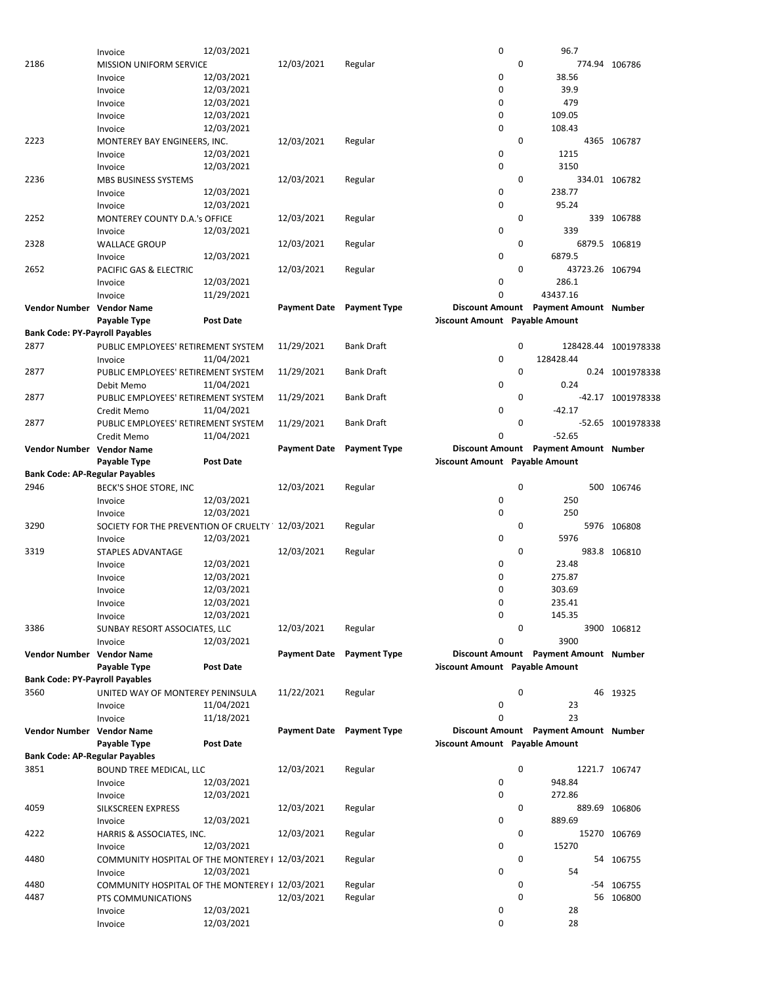|                                       | Invoice                                         | 12/03/2021       |                     |                     | 0                                     |   | 96.7                                  |                      |
|---------------------------------------|-------------------------------------------------|------------------|---------------------|---------------------|---------------------------------------|---|---------------------------------------|----------------------|
| 2186                                  | <b>MISSION UNIFORM SERVICE</b>                  |                  | 12/03/2021          | Regular             |                                       | 0 |                                       | 774.94 106786        |
|                                       | Invoice                                         | 12/03/2021       |                     |                     | 0                                     |   | 38.56                                 |                      |
|                                       |                                                 |                  |                     |                     |                                       |   |                                       |                      |
|                                       | Invoice                                         | 12/03/2021       |                     |                     | $\mathbf 0$                           |   | 39.9                                  |                      |
|                                       | Invoice                                         | 12/03/2021       |                     |                     | $\mathbf 0$                           |   | 479                                   |                      |
|                                       | Invoice                                         | 12/03/2021       |                     |                     | 0                                     |   | 109.05                                |                      |
|                                       | Invoice                                         | 12/03/2021       |                     |                     | 0                                     |   | 108.43                                |                      |
|                                       |                                                 |                  |                     |                     |                                       |   |                                       |                      |
| 2223                                  | MONTEREY BAY ENGINEERS, INC.                    |                  | 12/03/2021          | Regular             |                                       | 0 |                                       | 4365 106787          |
|                                       | Invoice                                         | 12/03/2021       |                     |                     | 0                                     |   | 1215                                  |                      |
|                                       | Invoice                                         | 12/03/2021       |                     |                     | $\mathbf 0$                           |   | 3150                                  |                      |
| 2236                                  | MBS BUSINESS SYSTEMS                            |                  | 12/03/2021          | Regular             |                                       | 0 |                                       | 334.01 106782        |
|                                       |                                                 |                  |                     |                     |                                       |   |                                       |                      |
|                                       | Invoice                                         | 12/03/2021       |                     |                     | 0                                     |   | 238.77                                |                      |
|                                       | Invoice                                         | 12/03/2021       |                     |                     | 0                                     |   | 95.24                                 |                      |
| 2252                                  | MONTEREY COUNTY D.A.'s OFFICE                   |                  | 12/03/2021          | Regular             |                                       | 0 |                                       | 339 106788           |
|                                       | Invoice                                         | 12/03/2021       |                     |                     | 0                                     |   | 339                                   |                      |
|                                       |                                                 |                  |                     |                     |                                       |   |                                       |                      |
| 2328                                  | <b>WALLACE GROUP</b>                            |                  | 12/03/2021          | Regular             |                                       | 0 |                                       | 6879.5 106819        |
|                                       | Invoice                                         | 12/03/2021       |                     |                     | 0                                     |   | 6879.5                                |                      |
| 2652                                  | PACIFIC GAS & ELECTRIC                          |                  | 12/03/2021          | Regular             |                                       | 0 | 43723.26 106794                       |                      |
|                                       | Invoice                                         | 12/03/2021       |                     |                     | $\mathbf 0$                           |   | 286.1                                 |                      |
|                                       |                                                 |                  |                     |                     | 0                                     |   | 43437.16                              |                      |
|                                       | Invoice                                         | 11/29/2021       |                     |                     |                                       |   |                                       |                      |
| Vendor Number Vendor Name             |                                                 |                  | <b>Payment Date</b> | <b>Payment Type</b> |                                       |   | Discount Amount Payment Amount Number |                      |
|                                       | Payable Type                                    | Post Date        |                     |                     | <b>Discount Amount</b> Payable Amount |   |                                       |                      |
| <b>Bank Code: PY-Payroll Payables</b> |                                                 |                  |                     |                     |                                       |   |                                       |                      |
| 2877                                  |                                                 |                  |                     | <b>Bank Draft</b>   |                                       | 0 |                                       | 128428.44 1001978338 |
|                                       | PUBLIC EMPLOYEES' RETIREMENT SYSTEM             |                  | 11/29/2021          |                     |                                       |   |                                       |                      |
|                                       | Invoice                                         | 11/04/2021       |                     |                     | 0                                     |   | 128428.44                             |                      |
| 2877                                  | PUBLIC EMPLOYEES' RETIREMENT SYSTEM             |                  | 11/29/2021          | <b>Bank Draft</b>   |                                       | 0 |                                       | 0.24 1001978338      |
|                                       | Debit Memo                                      | 11/04/2021       |                     |                     | 0                                     |   | 0.24                                  |                      |
| 2877                                  | PUBLIC EMPLOYEES' RETIREMENT SYSTEM             |                  | 11/29/2021          | <b>Bank Draft</b>   |                                       | 0 |                                       | -42.17 1001978338    |
|                                       |                                                 |                  |                     |                     |                                       |   |                                       |                      |
|                                       | Credit Memo                                     | 11/04/2021       |                     |                     | $\mathbf 0$                           |   | $-42.17$                              |                      |
| 2877                                  | PUBLIC EMPLOYEES' RETIREMENT SYSTEM             |                  | 11/29/2021          | <b>Bank Draft</b>   |                                       | 0 |                                       | -52.65 1001978338    |
|                                       | Credit Memo                                     | 11/04/2021       |                     |                     | 0                                     |   | $-52.65$                              |                      |
| Vendor Number Vendor Name             |                                                 |                  | <b>Payment Date</b> | <b>Payment Type</b> |                                       |   | Discount Amount Payment Amount Number |                      |
|                                       |                                                 |                  |                     |                     |                                       |   |                                       |                      |
|                                       | Payable Type                                    | Post Date        |                     |                     | <b>Discount Amount Payable Amount</b> |   |                                       |                      |
| <b>Bank Code: AP-Regular Payables</b> |                                                 |                  |                     |                     |                                       |   |                                       |                      |
| 2946                                  | BECK'S SHOE STORE, INC                          |                  | 12/03/2021          | Regular             |                                       | 0 |                                       | 500 106746           |
|                                       | Invoice                                         | 12/03/2021       |                     |                     | 0                                     |   | 250                                   |                      |
|                                       |                                                 |                  |                     |                     |                                       |   |                                       |                      |
|                                       | Invoice                                         | 12/03/2021       |                     |                     | $\mathbf 0$                           |   | 250                                   |                      |
| 3290                                  | SOCIETY FOR THE PREVENTION OF CRUELTY           |                  | 12/03/2021          | Regular             |                                       | 0 |                                       | 5976 106808          |
|                                       | Invoice                                         | 12/03/2021       |                     |                     | 0                                     |   | 5976                                  |                      |
| 3319                                  | <b>STAPLES ADVANTAGE</b>                        |                  | 12/03/2021          | Regular             |                                       | 0 |                                       | 983.8 106810         |
|                                       |                                                 |                  |                     |                     |                                       |   |                                       |                      |
|                                       | Invoice                                         | 12/03/2021       |                     |                     | 0                                     |   | 23.48                                 |                      |
|                                       | Invoice                                         | 12/03/2021       |                     |                     | 0                                     |   | 275.87                                |                      |
|                                       | Invoice                                         | 12/03/2021       |                     |                     | 0                                     |   | 303.69                                |                      |
|                                       | Invoice                                         | 12/03/2021       |                     |                     | $\Omega$                              |   | 235.41                                |                      |
|                                       |                                                 |                  |                     |                     |                                       |   |                                       |                      |
|                                       | Invoice                                         | 12/03/2021       |                     |                     | 0                                     |   | 145.35                                |                      |
| 3386                                  | SUNBAY RESORT ASSOCIATES, LLC                   |                  | 12/03/2021          | Regular             |                                       | 0 |                                       | 3900 106812          |
|                                       | Invoice                                         | 12/03/2021       |                     |                     | 0                                     |   | 3900                                  |                      |
| Vendor Number Vendor Name             |                                                 |                  | <b>Payment Date</b> | <b>Payment Type</b> |                                       |   | Discount Amount Payment Amount Number |                      |
|                                       | Payable Type                                    | Post Date        |                     |                     | <b>Discount Amount Payable Amount</b> |   |                                       |                      |
|                                       |                                                 |                  |                     |                     |                                       |   |                                       |                      |
| <b>Bank Code: PY-Payroll Payables</b> |                                                 |                  |                     |                     |                                       |   |                                       |                      |
| 3560                                  | UNITED WAY OF MONTEREY PENINSULA                |                  | 11/22/2021          | Regular             |                                       | 0 |                                       | 46 19325             |
|                                       | Invoice                                         | 11/04/2021       |                     |                     | 0                                     |   | 23                                    |                      |
|                                       | Invoice                                         | 11/18/2021       |                     |                     | $\Omega$                              |   | 23                                    |                      |
|                                       |                                                 |                  |                     |                     |                                       |   |                                       |                      |
| Vendor Number Vendor Name             |                                                 |                  | <b>Payment Date</b> | <b>Payment Type</b> |                                       |   | Discount Amount Payment Amount Number |                      |
|                                       | Payable Type                                    | <b>Post Date</b> |                     |                     | <b>Discount Amount Payable Amount</b> |   |                                       |                      |
| <b>Bank Code: AP-Regular Payables</b> |                                                 |                  |                     |                     |                                       |   |                                       |                      |
| 3851                                  | <b>BOUND TREE MEDICAL, LLC</b>                  |                  | 12/03/2021          | Regular             |                                       | 0 |                                       | 1221.7 106747        |
|                                       |                                                 |                  |                     |                     |                                       |   |                                       |                      |
|                                       | Invoice                                         | 12/03/2021       |                     |                     | 0                                     |   | 948.84                                |                      |
|                                       | Invoice                                         | 12/03/2021       |                     |                     | 0                                     |   | 272.86                                |                      |
| 4059                                  | SILKSCREEN EXPRESS                              |                  | 12/03/2021          | Regular             |                                       | 0 |                                       | 889.69 106806        |
|                                       | Invoice                                         | 12/03/2021       |                     |                     | 0                                     |   | 889.69                                |                      |
|                                       |                                                 |                  |                     |                     |                                       |   |                                       |                      |
| 4222                                  | HARRIS & ASSOCIATES, INC.                       |                  | 12/03/2021          | Regular             |                                       | 0 |                                       | 15270 106769         |
|                                       | Invoice                                         | 12/03/2021       |                     |                     | 0                                     |   | 15270                                 |                      |
| 4480                                  | COMMUNITY HOSPITAL OF THE MONTEREY   12/03/2021 |                  |                     | Regular             |                                       | 0 |                                       | 54 106755            |
|                                       | Invoice                                         | 12/03/2021       |                     |                     | 0                                     |   | 54                                    |                      |
|                                       |                                                 |                  |                     |                     |                                       |   |                                       |                      |
| 4480                                  | COMMUNITY HOSPITAL OF THE MONTEREY   12/03/2021 |                  |                     | Regular             |                                       | 0 |                                       | -54 106755           |
| 4487                                  | PTS COMMUNICATIONS                              |                  | 12/03/2021          | Regular             |                                       | 0 |                                       | 56 106800            |
|                                       | Invoice                                         | 12/03/2021       |                     |                     | 0                                     |   | 28                                    |                      |
|                                       |                                                 |                  |                     |                     | 0                                     |   |                                       |                      |
|                                       | Invoice                                         | 12/03/2021       |                     |                     |                                       |   | 28                                    |                      |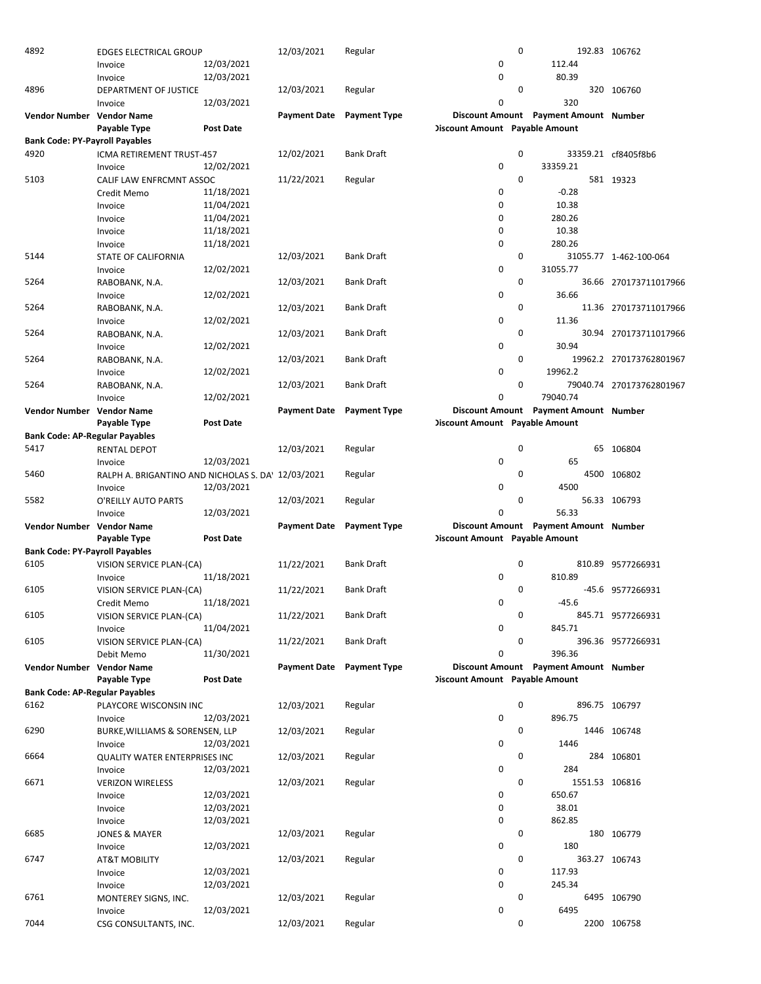| 4892                                  | <b>EDGES ELECTRICAL GROUP</b>                      |                  | 12/03/2021                | Regular                   | $\mathbf 0$                           |                                       | 192.83 106762            |
|---------------------------------------|----------------------------------------------------|------------------|---------------------------|---------------------------|---------------------------------------|---------------------------------------|--------------------------|
|                                       | Invoice                                            | 12/03/2021       |                           |                           | 0                                     | 112.44                                |                          |
|                                       | Invoice                                            | 12/03/2021       |                           |                           | $\mathbf 0$                           | 80.39                                 |                          |
| 4896                                  | DEPARTMENT OF JUSTICE                              |                  | 12/03/2021                | Regular                   | 0                                     |                                       | 320 106760               |
|                                       | Invoice                                            | 12/03/2021       |                           |                           | 0                                     | 320                                   |                          |
| Vendor Number Vendor Name             |                                                    |                  | Payment Date Payment Type |                           |                                       | Discount Amount Payment Amount Number |                          |
|                                       |                                                    | Post Date        |                           |                           |                                       |                                       |                          |
|                                       | Payable Type                                       |                  |                           |                           | <b>Discount Amount</b> Payable Amount |                                       |                          |
| <b>Bank Code: PY-Payroll Payables</b> |                                                    |                  |                           |                           |                                       |                                       |                          |
| 4920                                  | ICMA RETIREMENT TRUST-457                          |                  | 12/02/2021                | <b>Bank Draft</b>         | 0                                     |                                       | 33359.21 cf8405f8b6      |
|                                       | Invoice                                            | 12/02/2021       |                           |                           | $\mathbf 0$                           | 33359.21                              |                          |
| 5103                                  | CALIF LAW ENFRCMNT ASSOC                           |                  | 11/22/2021                | Regular                   | $\mathbf 0$                           |                                       | 581 19323                |
|                                       | Credit Memo                                        | 11/18/2021       |                           |                           | $\mathbf 0$                           | $-0.28$                               |                          |
|                                       | Invoice                                            | 11/04/2021       |                           |                           | 0                                     | 10.38                                 |                          |
|                                       | Invoice                                            | 11/04/2021       |                           |                           | 0                                     | 280.26                                |                          |
|                                       |                                                    | 11/18/2021       |                           |                           | 0                                     | 10.38                                 |                          |
|                                       | Invoice                                            |                  |                           |                           |                                       |                                       |                          |
|                                       | Invoice                                            | 11/18/2021       |                           |                           | $\mathbf 0$                           | 280.26                                |                          |
| 5144                                  | STATE OF CALIFORNIA                                |                  | 12/03/2021                | Bank Draft                | 0                                     |                                       | 31055.77 1-462-100-064   |
|                                       | Invoice                                            | 12/02/2021       |                           |                           | $\mathbf 0$                           | 31055.77                              |                          |
| 5264                                  | RABOBANK, N.A.                                     |                  | 12/03/2021                | <b>Bank Draft</b>         | $\mathbf 0$                           |                                       | 36.66 270173711017966    |
|                                       | Invoice                                            | 12/02/2021       |                           |                           | $\mathbf 0$                           | 36.66                                 |                          |
| 5264                                  | RABOBANK, N.A.                                     |                  | 12/03/2021                | <b>Bank Draft</b>         | 0                                     |                                       | 11.36 270173711017966    |
|                                       | Invoice                                            | 12/02/2021       |                           |                           | 0                                     | 11.36                                 |                          |
| 5264                                  | RABOBANK, N.A.                                     |                  | 12/03/2021                | <b>Bank Draft</b>         | 0                                     |                                       | 30.94 270173711017966    |
|                                       |                                                    |                  |                           |                           | 0                                     | 30.94                                 |                          |
|                                       | Invoice                                            | 12/02/2021       |                           |                           |                                       |                                       |                          |
| 5264                                  | RABOBANK, N.A.                                     |                  | 12/03/2021                | <b>Bank Draft</b>         | 0                                     |                                       | 19962.2 270173762801967  |
|                                       | Invoice                                            | 12/02/2021       |                           |                           | $\mathbf 0$                           | 19962.2                               |                          |
| 5264                                  | RABOBANK, N.A.                                     |                  | 12/03/2021                | Bank Draft                | $\mathbf 0$                           |                                       | 79040.74 270173762801967 |
|                                       | Invoice                                            | 12/02/2021       |                           |                           | 0                                     | 79040.74                              |                          |
| Vendor Number Vendor Name             |                                                    |                  | <b>Payment Date</b>       | <b>Payment Type</b>       |                                       | Discount Amount Payment Amount Number |                          |
|                                       | Payable Type                                       | <b>Post Date</b> |                           |                           | <b>Discount Amount</b> Payable Amount |                                       |                          |
| <b>Bank Code: AP-Regular Payables</b> |                                                    |                  |                           |                           |                                       |                                       |                          |
| 5417                                  |                                                    |                  | 12/03/2021                | Regular                   | 0                                     |                                       | 65 106804                |
|                                       | RENTAL DEPOT                                       |                  |                           |                           |                                       |                                       |                          |
|                                       | Invoice                                            | 12/03/2021       |                           |                           | 0                                     | 65                                    |                          |
| 5460                                  | RALPH A. BRIGANTINO AND NICHOLAS S. DA' 12/03/2021 |                  |                           | Regular                   | $\mathbf 0$                           |                                       | 4500 106802              |
|                                       | Invoice                                            | 12/03/2021       |                           |                           | 0                                     | 4500                                  |                          |
| 5582                                  | O'REILLY AUTO PARTS                                |                  | 12/03/2021                | Regular                   | 0                                     |                                       | 56.33 106793             |
|                                       | Invoice                                            | 12/03/2021       |                           |                           | 0                                     | 56.33                                 |                          |
| Vendor Number Vendor Name             |                                                    |                  | <b>Payment Date</b>       | <b>Payment Type</b>       |                                       | Discount Amount Payment Amount Number |                          |
|                                       | Payable Type                                       | <b>Post Date</b> |                           |                           | <b>Discount Amount</b> Payable Amount |                                       |                          |
| <b>Bank Code: PY-Payroll Payables</b> |                                                    |                  |                           |                           |                                       |                                       |                          |
|                                       |                                                    |                  |                           |                           |                                       |                                       |                          |
|                                       |                                                    |                  |                           |                           |                                       |                                       |                          |
| 6105                                  | VISION SERVICE PLAN-(CA)                           |                  | 11/22/2021                | <b>Bank Draft</b>         | 0                                     |                                       | 810.89 9577266931        |
|                                       | Invoice                                            | 11/18/2021       |                           |                           | 0                                     | 810.89                                |                          |
| 6105                                  | VISION SERVICE PLAN-(CA)                           |                  | 11/22/2021                | <b>Bank Draft</b>         | 0                                     |                                       | -45.6 9577266931         |
|                                       | Credit Memo                                        | 11/18/2021       |                           |                           | $\Omega$                              | $-45.6$                               |                          |
|                                       |                                                    |                  |                           | Bank Draft                | 0                                     |                                       |                          |
| 6105                                  | VISION SERVICE PLAN-(CA)                           |                  | 11/22/2021                |                           |                                       |                                       | 845.71 9577266931        |
|                                       | Invoice                                            | 11/04/2021       |                           |                           | 0                                     | 845.71                                |                          |
| 6105                                  | VISION SERVICE PLAN-(CA)                           |                  | 11/22/2021                | <b>Bank Draft</b>         | 0                                     |                                       | 396.36 9577266931        |
|                                       | Debit Memo                                         | 11/30/2021       |                           |                           | 0                                     | 396.36                                |                          |
| Vendor Number Vendor Name             |                                                    |                  |                           | Payment Date Payment Type |                                       | Discount Amount Payment Amount Number |                          |
|                                       | Payable Type                                       | Post Date        |                           |                           | <b>Discount Amount</b> Payable Amount |                                       |                          |
| <b>Bank Code: AP-Regular Payables</b> |                                                    |                  |                           |                           |                                       |                                       |                          |
| 6162                                  | PLAYCORE WISCONSIN INC                             |                  | 12/03/2021                | Regular                   | 0                                     |                                       | 896.75 106797            |
|                                       | Invoice                                            | 12/03/2021       |                           |                           | 0                                     | 896.75                                |                          |
|                                       |                                                    |                  | 12/03/2021                |                           | 0                                     |                                       |                          |
| 6290                                  | BURKE, WILLIAMS & SORENSEN, LLP                    |                  |                           | Regular                   |                                       |                                       | 1446 106748              |
|                                       | Invoice                                            | 12/03/2021       |                           |                           | 0                                     | 1446                                  |                          |
| 6664                                  | QUALITY WATER ENTERPRISES INC                      |                  | 12/03/2021                | Regular                   | 0                                     |                                       | 284 106801               |
|                                       | Invoice                                            | 12/03/2021       |                           |                           | 0                                     | 284                                   |                          |
| 6671                                  | <b>VERIZON WIRELESS</b>                            |                  | 12/03/2021                | Regular                   | 0                                     | 1551.53 106816                        |                          |
|                                       | Invoice                                            | 12/03/2021       |                           |                           | 0                                     | 650.67                                |                          |
|                                       | Invoice                                            | 12/03/2021       |                           |                           | 0                                     | 38.01                                 |                          |
|                                       | Invoice                                            | 12/03/2021       |                           |                           | 0                                     | 862.85                                |                          |
| 6685                                  | <b>JONES &amp; MAYER</b>                           |                  | 12/03/2021                | Regular                   | 0                                     |                                       | 180 106779               |
|                                       |                                                    | 12/03/2021       |                           |                           | 0                                     | 180                                   |                          |
|                                       | Invoice                                            |                  |                           |                           |                                       |                                       |                          |
| 6747                                  | <b>AT&amp;T MOBILITY</b>                           |                  | 12/03/2021                | Regular                   | 0                                     |                                       | 363.27 106743            |
|                                       | Invoice                                            | 12/03/2021       |                           |                           | 0                                     | 117.93                                |                          |
|                                       | Invoice                                            | 12/03/2021       |                           |                           | 0                                     | 245.34                                |                          |
| 6761                                  | MONTEREY SIGNS, INC.                               |                  | 12/03/2021                | Regular                   | 0                                     |                                       | 6495 106790              |
| 7044                                  | Invoice                                            | 12/03/2021       | 12/03/2021                | Regular                   | 0<br>0                                | 6495                                  | 2200 106758              |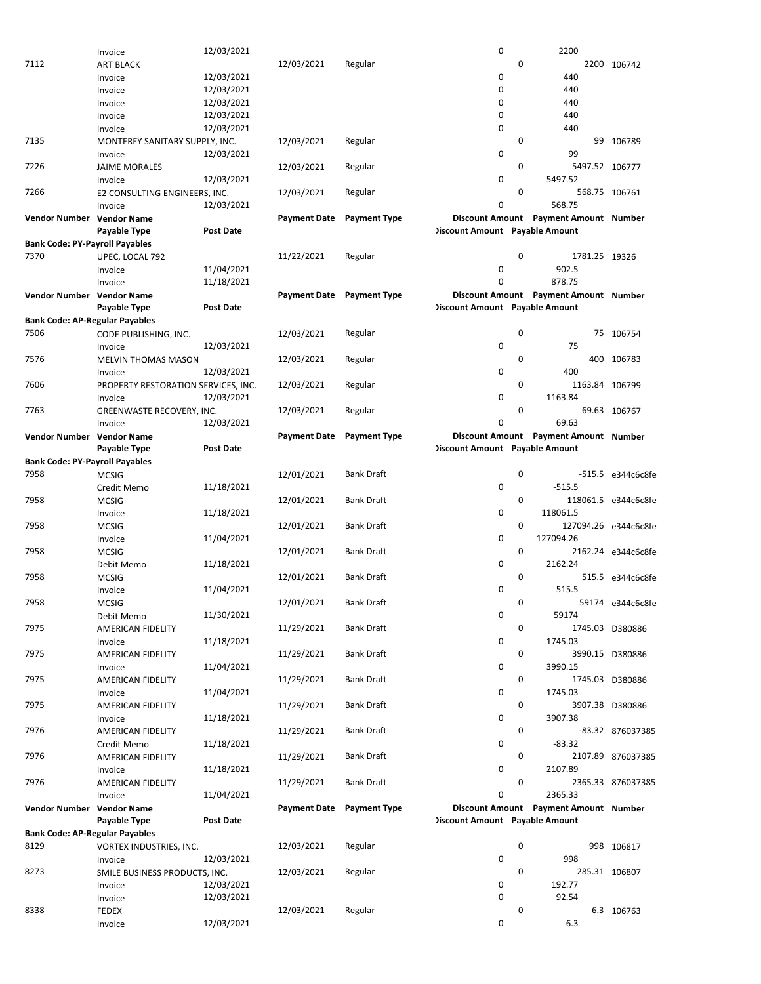|                                       | Invoice                             | 12/03/2021       |                           |                     | 0                                     |   | 2200                                  |                      |
|---------------------------------------|-------------------------------------|------------------|---------------------------|---------------------|---------------------------------------|---|---------------------------------------|----------------------|
| 7112                                  | <b>ART BLACK</b>                    |                  | 12/03/2021                | Regular             |                                       | 0 |                                       | 2200 106742          |
|                                       |                                     |                  |                           |                     |                                       |   |                                       |                      |
|                                       | Invoice                             | 12/03/2021       |                           |                     | 0                                     |   | 440                                   |                      |
|                                       | Invoice                             | 12/03/2021       |                           |                     | 0                                     |   | 440                                   |                      |
|                                       | Invoice                             | 12/03/2021       |                           |                     | 0                                     |   | 440                                   |                      |
|                                       | Invoice                             | 12/03/2021       |                           |                     | 0                                     |   | 440                                   |                      |
|                                       |                                     |                  |                           |                     |                                       |   |                                       |                      |
|                                       | Invoice                             | 12/03/2021       |                           |                     | $\mathbf 0$                           |   | 440                                   |                      |
| 7135                                  | MONTEREY SANITARY SUPPLY, INC.      |                  | 12/03/2021                | Regular             |                                       | 0 |                                       | 99 106789            |
|                                       | Invoice                             | 12/03/2021       |                           |                     | 0                                     |   | 99                                    |                      |
|                                       |                                     |                  |                           |                     |                                       |   |                                       |                      |
| 7226                                  | <b>JAIME MORALES</b>                |                  | 12/03/2021                | Regular             |                                       | 0 | 5497.52 106777                        |                      |
|                                       | Invoice                             | 12/03/2021       |                           |                     | $\mathbf 0$                           |   | 5497.52                               |                      |
| 7266                                  | E2 CONSULTING ENGINEERS, INC.       |                  | 12/03/2021                | Regular             |                                       | 0 |                                       | 568.75 106761        |
|                                       |                                     |                  |                           |                     | 0                                     |   | 568.75                                |                      |
|                                       | Invoice                             | 12/03/2021       |                           |                     |                                       |   |                                       |                      |
| Vendor Number Vendor Name             |                                     |                  | <b>Payment Date</b>       | <b>Payment Type</b> |                                       |   | Discount Amount Payment Amount Number |                      |
|                                       | Payable Type                        | Post Date        |                           |                     | <b>Discount Amount</b> Payable Amount |   |                                       |                      |
| <b>Bank Code: PY-Payroll Payables</b> |                                     |                  |                           |                     |                                       |   |                                       |                      |
|                                       |                                     |                  |                           |                     |                                       |   |                                       |                      |
| 7370                                  | UPEC, LOCAL 792                     |                  | 11/22/2021                | Regular             |                                       | 0 | 1781.25 19326                         |                      |
|                                       | Invoice                             | 11/04/2021       |                           |                     | 0                                     |   | 902.5                                 |                      |
|                                       |                                     | 11/18/2021       |                           |                     | 0                                     |   | 878.75                                |                      |
|                                       | Invoice                             |                  |                           |                     |                                       |   |                                       |                      |
| Vendor Number Vendor Name             |                                     |                  | Payment Date Payment Type |                     |                                       |   | Discount Amount Payment Amount Number |                      |
|                                       | Payable Type                        | <b>Post Date</b> |                           |                     | <b>Discount Amount</b> Payable Amount |   |                                       |                      |
| <b>Bank Code: AP-Regular Payables</b> |                                     |                  |                           |                     |                                       |   |                                       |                      |
|                                       |                                     |                  |                           |                     |                                       |   |                                       |                      |
| 7506                                  | CODE PUBLISHING, INC.               |                  | 12/03/2021                | Regular             |                                       | 0 |                                       | 75 106754            |
|                                       | Invoice                             | 12/03/2021       |                           |                     | 0                                     |   | 75                                    |                      |
|                                       |                                     |                  |                           |                     |                                       |   |                                       |                      |
| 7576                                  | <b>MELVIN THOMAS MASON</b>          |                  | 12/03/2021                | Regular             |                                       | 0 |                                       | 400 106783           |
|                                       | Invoice                             | 12/03/2021       |                           |                     | 0                                     |   | 400                                   |                      |
| 7606                                  | PROPERTY RESTORATION SERVICES, INC. |                  | 12/03/2021                | Regular             |                                       | 0 | 1163.84 106799                        |                      |
|                                       |                                     |                  |                           |                     |                                       |   |                                       |                      |
|                                       | Invoice                             | 12/03/2021       |                           |                     | $\mathbf 0$                           |   | 1163.84                               |                      |
| 7763                                  | GREENWASTE RECOVERY, INC.           |                  | 12/03/2021                | Regular             |                                       | 0 |                                       | 69.63 106767         |
|                                       | Invoice                             | 12/03/2021       |                           |                     | 0                                     |   | 69.63                                 |                      |
|                                       |                                     |                  |                           |                     |                                       |   |                                       |                      |
| Vendor Number Vendor Name             |                                     |                  | <b>Payment Date</b>       | <b>Payment Type</b> |                                       |   | Discount Amount Payment Amount Number |                      |
|                                       | Payable Type                        | Post Date        |                           |                     | <b>Discount Amount Payable Amount</b> |   |                                       |                      |
| <b>Bank Code: PY-Payroll Payables</b> |                                     |                  |                           |                     |                                       |   |                                       |                      |
|                                       |                                     |                  |                           |                     |                                       |   |                                       |                      |
| 7958                                  | <b>MCSIG</b>                        |                  | 12/01/2021                | <b>Bank Draft</b>   |                                       | 0 |                                       | -515.5 e344c6c8fe    |
|                                       | Credit Memo                         | 11/18/2021       |                           |                     | 0                                     |   | $-515.5$                              |                      |
| 7958                                  | <b>MCSIG</b>                        |                  | 12/01/2021                | <b>Bank Draft</b>   |                                       | 0 |                                       | 118061.5 e344c6c8fe  |
|                                       |                                     |                  |                           |                     |                                       |   |                                       |                      |
|                                       | Invoice                             | 11/18/2021       |                           |                     | $\mathbf 0$                           |   | 118061.5                              |                      |
| 7958                                  | <b>MCSIG</b>                        |                  | 12/01/2021                | <b>Bank Draft</b>   |                                       | 0 |                                       | 127094.26 e344c6c8fe |
|                                       | Invoice                             | 11/04/2021       |                           |                     | 0                                     |   | 127094.26                             |                      |
|                                       |                                     |                  |                           |                     |                                       |   |                                       |                      |
| 7958                                  | <b>MCSIG</b>                        |                  | 12/01/2021                | <b>Bank Draft</b>   |                                       | 0 |                                       | 2162.24 e344c6c8fe   |
|                                       | Debit Memo                          | 11/18/2021       |                           |                     | 0                                     |   | 2162.24                               |                      |
| 7958                                  | <b>MCSIG</b>                        |                  | 12/01/2021                | <b>Bank Draft</b>   |                                       | 0 |                                       | 515.5 e344c6c8fe     |
|                                       |                                     |                  |                           |                     |                                       |   |                                       |                      |
|                                       | Invoice                             | 11/04/2021       |                           |                     |                                       |   | 515.5                                 |                      |
| 7958                                  |                                     |                  |                           |                     | 0                                     |   |                                       |                      |
|                                       | <b>MCSIG</b>                        |                  | 12/01/2021                | Bank Draft          |                                       | 0 |                                       | 59174 e344c6c8fe     |
|                                       |                                     |                  |                           |                     |                                       |   |                                       |                      |
|                                       | Debit Memo                          | 11/30/2021       |                           |                     | 0                                     |   | 59174                                 |                      |
| 7975                                  | AMERICAN FIDELITY                   |                  | 11/29/2021                | Bank Draft          |                                       | 0 |                                       | 1745.03 D380886      |
|                                       | Invoice                             | 11/18/2021       |                           |                     | 0                                     |   | 1745.03                               |                      |
|                                       |                                     |                  |                           |                     |                                       |   |                                       |                      |
| 7975                                  | AMERICAN FIDELITY                   |                  | 11/29/2021                | Bank Draft          |                                       | 0 |                                       | 3990.15 D380886      |
|                                       | Invoice                             | 11/04/2021       |                           |                     | 0                                     |   | 3990.15                               |                      |
| 7975                                  | AMERICAN FIDELITY                   |                  | 11/29/2021                | Bank Draft          |                                       | 0 |                                       | 1745.03 D380886      |
|                                       |                                     |                  |                           |                     |                                       |   |                                       |                      |
|                                       | Invoice                             | 11/04/2021       |                           |                     | 0                                     |   | 1745.03                               |                      |
| 7975                                  | AMERICAN FIDELITY                   |                  | 11/29/2021                | Bank Draft          |                                       | 0 |                                       | 3907.38 D380886      |
|                                       | Invoice                             | 11/18/2021       |                           |                     | 0                                     |   | 3907.38                               |                      |
| 7976                                  |                                     |                  |                           | Bank Draft          |                                       | 0 |                                       |                      |
|                                       | AMERICAN FIDELITY                   |                  | 11/29/2021                |                     |                                       |   |                                       | -83.32 876037385     |
|                                       | Credit Memo                         | 11/18/2021       |                           |                     | $\mathbf 0$                           |   | $-83.32$                              |                      |
| 7976                                  | <b>AMERICAN FIDELITY</b>            |                  | 11/29/2021                | <b>Bank Draft</b>   |                                       | 0 |                                       | 2107.89 876037385    |
|                                       |                                     |                  |                           |                     | 0                                     |   | 2107.89                               |                      |
|                                       | Invoice                             | 11/18/2021       |                           |                     |                                       |   |                                       |                      |
| 7976                                  | AMERICAN FIDELITY                   |                  | 11/29/2021                | Bank Draft          |                                       | 0 |                                       | 2365.33 876037385    |
|                                       | Invoice                             | 11/04/2021       |                           |                     | 0                                     |   | 2365.33                               |                      |
| Vendor Number Vendor Name             |                                     |                  | Payment Date Payment Type |                     |                                       |   | Discount Amount Payment Amount Number |                      |
|                                       |                                     |                  |                           |                     |                                       |   |                                       |                      |
|                                       | Payable Type                        | <b>Post Date</b> |                           |                     | <b>Discount Amount Payable Amount</b> |   |                                       |                      |
| <b>Bank Code: AP-Regular Payables</b> |                                     |                  |                           |                     |                                       |   |                                       |                      |
| 8129                                  | VORTEX INDUSTRIES, INC.             |                  | 12/03/2021                | Regular             |                                       | 0 |                                       | 998 106817           |
|                                       |                                     |                  |                           |                     |                                       |   |                                       |                      |
|                                       | Invoice                             | 12/03/2021       |                           |                     | 0                                     |   | 998                                   |                      |
| 8273                                  | SMILE BUSINESS PRODUCTS, INC.       |                  | 12/03/2021                | Regular             |                                       | 0 | 285.31 106807                         |                      |
|                                       |                                     | 12/03/2021       |                           |                     | 0                                     |   | 192.77                                |                      |
|                                       | Invoice                             |                  |                           |                     |                                       |   |                                       |                      |
|                                       | Invoice                             | 12/03/2021       |                           |                     | $\mathbf 0$                           |   | 92.54                                 |                      |
| 8338                                  | <b>FEDEX</b>                        |                  | 12/03/2021                | Regular             |                                       | 0 |                                       | 6.3 106763           |
|                                       | Invoice                             | 12/03/2021       |                           |                     | 0                                     |   | 6.3                                   |                      |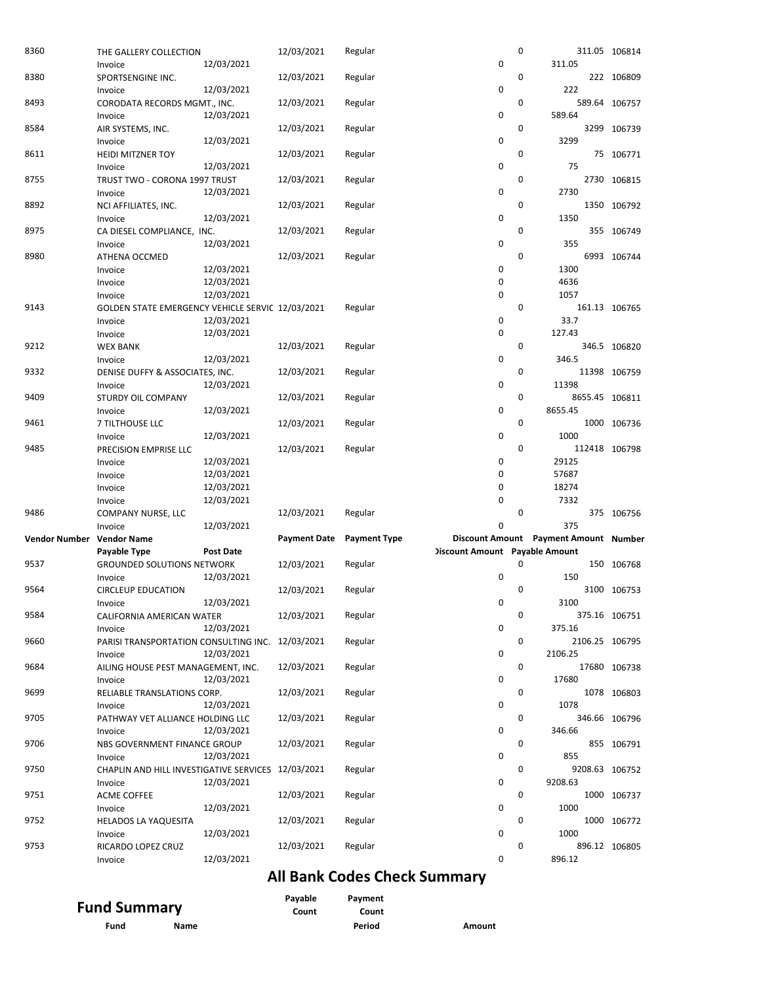| 8360                      | THE GALLERY COLLECTION                             |                  | 12/03/2021          | Regular             |                                       | $\mathbf 0$ |                                       | 311.05 106814 |
|---------------------------|----------------------------------------------------|------------------|---------------------|---------------------|---------------------------------------|-------------|---------------------------------------|---------------|
|                           | Invoice                                            | 12/03/2021       |                     |                     | 0                                     |             | 311.05                                |               |
| 8380                      | SPORTSENGINE INC.                                  |                  | 12/03/2021          | Regular             |                                       | 0           |                                       | 222 106809    |
|                           | Invoice                                            | 12/03/2021       |                     |                     | 0                                     |             | 222                                   |               |
| 8493                      | CORODATA RECORDS MGMT., INC.                       |                  | 12/03/2021          | Regular             |                                       | 0           |                                       | 589.64 106757 |
|                           | Invoice                                            | 12/03/2021       |                     |                     | 0                                     |             | 589.64                                |               |
| 8584                      | AIR SYSTEMS, INC.                                  |                  | 12/03/2021          | Regular             |                                       | 0           |                                       | 3299 106739   |
|                           | Invoice                                            | 12/03/2021       |                     |                     | 0                                     |             | 3299                                  |               |
| 8611                      | <b>HEIDI MITZNER TOY</b>                           |                  | 12/03/2021          | Regular             |                                       | 0           |                                       | 75 106771     |
|                           | Invoice                                            | 12/03/2021       |                     |                     | 0                                     |             | 75                                    |               |
| 8755                      | TRUST TWO - CORONA 1997 TRUST                      |                  | 12/03/2021          | Regular             |                                       | $\mathbf 0$ |                                       | 2730 106815   |
|                           | Invoice                                            | 12/03/2021       |                     |                     | $\mathbf 0$                           |             | 2730                                  |               |
| 8892                      | NCI AFFILIATES, INC.                               |                  | 12/03/2021          | Regular             |                                       | 0           |                                       | 1350 106792   |
|                           | Invoice                                            | 12/03/2021       |                     |                     | 0                                     |             | 1350                                  |               |
| 8975                      | CA DIESEL COMPLIANCE, INC.                         |                  | 12/03/2021          | Regular             |                                       | 0           |                                       | 355 106749    |
|                           | Invoice                                            | 12/03/2021       |                     |                     | 0                                     |             | 355                                   |               |
| 8980                      | ATHENA OCCMED                                      |                  | 12/03/2021          | Regular             |                                       | 0           |                                       | 6993 106744   |
|                           | Invoice                                            | 12/03/2021       |                     |                     | 0                                     |             | 1300                                  |               |
|                           | Invoice                                            | 12/03/2021       |                     |                     | 0                                     |             | 4636                                  |               |
|                           | Invoice                                            | 12/03/2021       |                     |                     | 0                                     |             | 1057                                  |               |
| 9143                      | GOLDEN STATE EMERGENCY VEHICLE SERVIC 12/03/2021   |                  |                     | Regular             |                                       | 0           |                                       | 161.13 106765 |
|                           | Invoice                                            | 12/03/2021       |                     |                     | 0                                     |             | 33.7                                  |               |
|                           | Invoice                                            | 12/03/2021       |                     |                     | 0                                     |             | 127.43                                |               |
| 9212                      | <b>WEX BANK</b>                                    |                  | 12/03/2021          | Regular             |                                       | 0           |                                       | 346.5 106820  |
|                           | Invoice                                            | 12/03/2021       |                     |                     | 0                                     |             | 346.5                                 |               |
| 9332                      | DENISE DUFFY & ASSOCIATES, INC.                    |                  | 12/03/2021          | Regular             |                                       | 0           |                                       | 11398 106759  |
|                           | Invoice                                            | 12/03/2021       |                     |                     | 0                                     |             | 11398                                 |               |
| 9409                      | <b>STURDY OIL COMPANY</b>                          |                  | 12/03/2021          | Regular             |                                       | 0           | 8655.45 106811                        |               |
|                           | Invoice                                            | 12/03/2021       |                     |                     | 0                                     |             | 8655.45                               |               |
| 9461                      | 7 TILTHOUSE LLC                                    |                  | 12/03/2021          | Regular             |                                       | 0           |                                       | 1000 106736   |
|                           | Invoice                                            | 12/03/2021       |                     |                     | 0                                     |             | 1000                                  |               |
| 9485                      | PRECISION EMPRISE LLC                              |                  | 12/03/2021          | Regular             |                                       | 0           | 112418 106798                         |               |
|                           |                                                    |                  |                     |                     |                                       |             |                                       |               |
|                           |                                                    | 12/03/2021       |                     |                     | 0                                     |             | 29125                                 |               |
|                           | Invoice                                            | 12/03/2021       |                     |                     | 0                                     |             | 57687                                 |               |
|                           | Invoice<br>Invoice                                 | 12/03/2021       |                     |                     | $\mathbf 0$                           |             | 18274                                 |               |
|                           |                                                    |                  |                     |                     | $\mathbf 0$                           |             | 7332                                  |               |
| 9486                      | Invoice<br>COMPANY NURSE, LLC                      | 12/03/2021       | 12/03/2021          | Regular             |                                       | 0           |                                       | 375 106756    |
|                           | Invoice                                            | 12/03/2021       |                     |                     | $\mathbf 0$                           |             | 375                                   |               |
| Vendor Number Vendor Name |                                                    |                  | <b>Payment Date</b> | <b>Payment Type</b> |                                       |             | Discount Amount Payment Amount Number |               |
|                           | Payable Type                                       | <b>Post Date</b> |                     |                     |                                       |             |                                       |               |
| 9537                      | <b>GROUNDED SOLUTIONS NETWORK</b>                  |                  | 12/03/2021          | Regular             | <b>Discount Amount Payable Amount</b> | 0           |                                       | 150 106768    |
|                           | Invoice                                            | 12/03/2021       |                     |                     | $\mathbf 0$                           |             | 150                                   |               |
| 9564                      | <b>CIRCLEUP EDUCATION</b>                          |                  | 12/03/2021          | Regular             |                                       | 0           |                                       | 3100 106753   |
|                           | Invoice                                            | 12/03/2021       |                     |                     | 0                                     |             | 3100                                  |               |
| 9584                      | CALIFORNIA AMERICAN WATER                          |                  | 12/03/2021          | Regular             |                                       | 0           |                                       | 375.16 106751 |
|                           | Invoice                                            | 12/03/2021       |                     |                     | 0                                     |             | 375.16                                |               |
| 9660                      | PARISI TRANSPORTATION CONSULTING INC. 12/03/2021   |                  |                     | Regular             |                                       | 0           | 2106.25 106795                        |               |
|                           | Invoice                                            | 12/03/2021       |                     |                     | 0                                     |             | 2106.25                               |               |
| 9684                      | AILING HOUSE PEST MANAGEMENT, INC.                 |                  | 12/03/2021          | Regular             |                                       | 0           |                                       |               |
|                           | Invoice                                            | 12/03/2021       |                     |                     | 0                                     |             | 17680                                 | 17680 106738  |
| 9699                      | RELIABLE TRANSLATIONS CORP.                        |                  | 12/03/2021          | Regular             |                                       | 0           |                                       | 1078 106803   |
|                           | Invoice                                            | 12/03/2021       |                     |                     | 0                                     |             | 1078                                  |               |
| 9705                      | PATHWAY VET ALLIANCE HOLDING LLC                   |                  | 12/03/2021          | Regular             |                                       | 0           |                                       | 346.66 106796 |
|                           | Invoice                                            | 12/03/2021       |                     |                     | 0                                     |             | 346.66                                |               |
| 9706                      | NBS GOVERNMENT FINANCE GROUP                       |                  | 12/03/2021          | Regular             |                                       | 0           |                                       | 855 106791    |
|                           | Invoice                                            | 12/03/2021       |                     |                     | 0                                     |             | 855                                   |               |
| 9750                      | CHAPLIN AND HILL INVESTIGATIVE SERVICES 12/03/2021 |                  |                     | Regular             |                                       | 0           | 9208.63 106752                        |               |
|                           | Invoice                                            | 12/03/2021       |                     |                     | 0                                     |             | 9208.63                               |               |
| 9751                      | ACME COFFEE                                        |                  | 12/03/2021          | Regular             |                                       | 0           |                                       | 1000 106737   |
|                           | Invoice                                            | 12/03/2021       |                     |                     | 0                                     |             | 1000                                  |               |
| 9752                      | HELADOS LA YAQUESITA                               |                  | 12/03/2021          | Regular             |                                       | 0           |                                       | 1000 106772   |
|                           | Invoice                                            | 12/03/2021       |                     |                     | 0                                     |             | 1000                                  |               |
| 9753                      | RICARDO LOPEZ CRUZ                                 |                  | 12/03/2021          | Regular             |                                       | 0           |                                       | 896.12 106805 |

## All Bank Codes Check Summary

| <b>Fund Summary</b> |      | Pavable<br>Count | Payment<br>Count |        |
|---------------------|------|------------------|------------------|--------|
| Fund                | Name |                  | Period           | Amount |